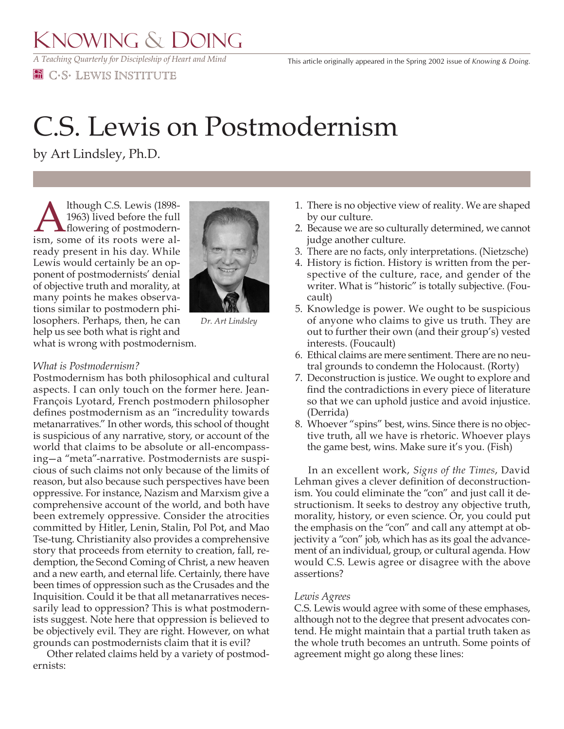*A Teaching Quarterly for Discipleship of Heart and Mind*

**EE** C.S. LEWIS INSTITUTE

## C.S. Lewis on Postmodernism

by Art Lindsley, Ph.D.

Although C.S. Lewis (1898-1963) lived before the full<br>flowering of postmodern-<br>ism, some of its roots were al-1963) lived before the full flowering of postmodernism, some of its roots were already present in his day. While Lewis would certainly be an opponent of postmodernists' denial of objective truth and morality, at many points he makes observations similar to postmodern philosophers. Perhaps, then, he can help us see both what is right and what is wrong with postmodernism.



*Dr. Art Lindsley*

## *What is Postmodernism?*

Postmodernism has both philosophical and cultural aspects. I can only touch on the former here. Jean-François Lyotard, French postmodern philosopher defines postmodernism as an "incredulity towards metanarratives." In other words, this school of thought is suspicious of any narrative, story, or account of the world that claims to be absolute or all-encompassing—a "meta"-narrative. Postmodernists are suspicious of such claims not only because of the limits of reason, but also because such perspectives have been oppressive. For instance, Nazism and Marxism give a comprehensive account of the world, and both have been extremely oppressive. Consider the atrocities committed by Hitler, Lenin, Stalin, Pol Pot, and Mao Tse-tung. Christianity also provides a comprehensive story that proceeds from eternity to creation, fall, redemption, the Second Coming of Christ, a new heaven and a new earth, and eternal life. Certainly, there have been times of oppression such as the Crusades and the Inquisition. Could it be that all metanarratives necessarily lead to oppression? This is what postmodernists suggest. Note here that oppression is believed to be objectively evil. They are right. However, on what grounds can postmodernists claim that it is evil?

 Other related claims held by a variety of postmodernists:

- 1. There is no objective view of reality. We are shaped by our culture.
- 2. Because we are so culturally determined, we cannot judge another culture.
- 3. There are no facts, only interpretations. (Nietzsche)
- 4. History is fiction. History is written from the perspective of the culture, race, and gender of the writer. What is "historic" is totally subjective. (Foucault)
- 5. Knowledge is power. We ought to be suspicious of anyone who claims to give us truth. They are out to further their own (and their group's) vested interests. (Foucault)
- 6. Ethical claims are mere sentiment. There are no neutral grounds to condemn the Holocaust. (Rorty)
- 7. Deconstruction is justice. We ought to explore and find the contradictions in every piece of literature so that we can uphold justice and avoid injustice. (Derrida)
- 8. Whoever "spins" best, wins. Since there is no objective truth, all we have is rhetoric. Whoever plays the game best, wins. Make sure it's you. (Fish)

 In an excellent work, *Signs of the Times*, David Lehman gives a clever definition of deconstructionism. You could eliminate the "con" and just call it destructionism. It seeks to destroy any objective truth, morality, history, or even science. Or, you could put the emphasis on the "con" and call any attempt at objectivity a "con" job, which has as its goal the advancement of an individual, group, or cultural agenda. How would C.S. Lewis agree or disagree with the above assertions?

## *Lewis Agrees*

C.S. Lewis would agree with some of these emphases, although not to the degree that present advocates contend. He might maintain that a partial truth taken as the whole truth becomes an untruth. Some points of agreement might go along these lines: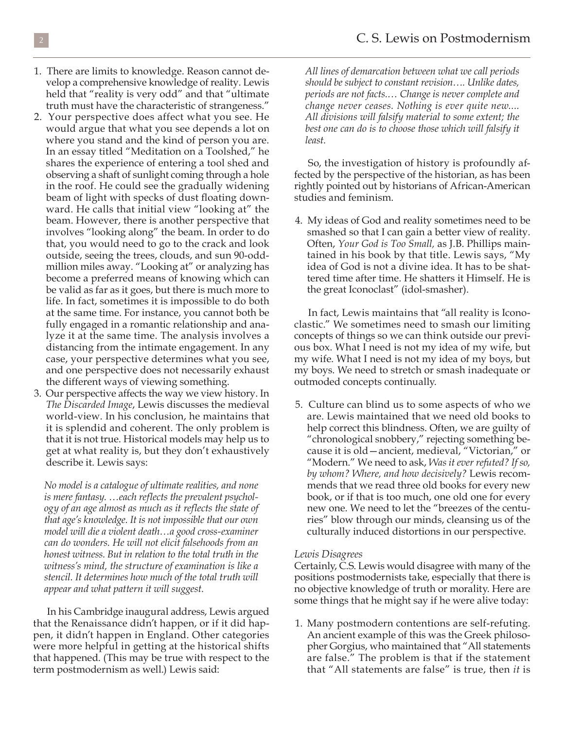- 1. There are limits to knowledge. Reason cannot develop a comprehensive knowledge of reality. Lewis held that "reality is very odd" and that "ultimate truth must have the characteristic of strangeness."
- 2. Your perspective does affect what you see. He would argue that what you see depends a lot on where you stand and the kind of person you are. In an essay titled "Meditation on a Toolshed," he shares the experience of entering a tool shed and observing a shaft of sunlight coming through a hole in the roof. He could see the gradually widening beam of light with specks of dust floating downward. He calls that initial view "looking at" the beam. However, there is another perspective that involves "looking along" the beam. In order to do that, you would need to go to the crack and look outside, seeing the trees, clouds, and sun 90-oddmillion miles away. "Looking at" or analyzing has become a preferred means of knowing which can be valid as far as it goes, but there is much more to life. In fact, sometimes it is impossible to do both at the same time. For instance, you cannot both be fully engaged in a romantic relationship and analyze it at the same time. The analysis involves a distancing from the intimate engagement. In any case, your perspective determines what you see, and one perspective does not necessarily exhaust the different ways of viewing something.
- 3. Our perspective affects the way we view history. In *The Discarded Image*, Lewis discusses the medieval world-view. In his conclusion, he maintains that it is splendid and coherent. The only problem is that it is not true. Historical models may help us to get at what reality is, but they don't exhaustively describe it. Lewis says:

*No model is a catalogue of ultimate realities, and none is mere fantasy. …each reflects the prevalent psychology of an age almost as much as it reflects the state of that age's knowledge. It is not impossible that our own model will die a violent death…a good cross-examiner can do wonders. He will not elicit falsehoods from an honest witness. But in relation to the total truth in the witness's mind, the structure of examination is like a stencil. It determines how much of the total truth will appear and what pattern it will suggest.*

 In his Cambridge inaugural address, Lewis argued that the Renaissance didn't happen, or if it did happen, it didn't happen in England. Other categories were more helpful in getting at the historical shifts that happened. (This may be true with respect to the term postmodernism as well.) Lewis said:

*All lines of demarcation between what we call periods should be subject to constant revision…. Unlike dates, periods are not facts.… Change is never complete and change never ceases. Nothing is ever quite new.... All divisions will falsify material to some extent; the best one can do is to choose those which will falsify it least.*

 So, the investigation of history is profoundly affected by the perspective of the historian, as has been rightly pointed out by historians of African-American studies and feminism.

4. My ideas of God and reality sometimes need to be smashed so that I can gain a better view of reality. Often, *Your God is Too Small,* as J.B. Phillips maintained in his book by that title. Lewis says, "My idea of God is not a divine idea. It has to be shattered time after time. He shatters it Himself. He is the great Iconoclast" (idol-smasher).

 In fact, Lewis maintains that "all reality is Iconoclastic." We sometimes need to smash our limiting concepts of things so we can think outside our previous box. What I need is not my idea of my wife, but my wife. What I need is not my idea of my boys, but my boys. We need to stretch or smash inadequate or outmoded concepts continually.

5. Culture can blind us to some aspects of who we are. Lewis maintained that we need old books to help correct this blindness. Often, we are guilty of "chronological snobbery," rejecting something because it is old—ancient, medieval, "Victorian," or "Modern." We need to ask, *Was it ever refuted? If so, by whom? Where, and how decisively?* Lewis recommends that we read three old books for every new book, or if that is too much, one old one for every new one. We need to let the "breezes of the centuries" blow through our minds, cleansing us of the culturally induced distortions in our perspective.

## *Lewis Disagrees*

Certainly, C.S. Lewis would disagree with many of the positions postmodernists take, especially that there is no objective knowledge of truth or morality. Here are some things that he might say if he were alive today:

1. Many postmodern contentions are self-refuting. An ancient example of this was the Greek philosopher Gorgius, who maintained that "All statements are false." The problem is that if the statement that "All statements are false" is true, then *it* is